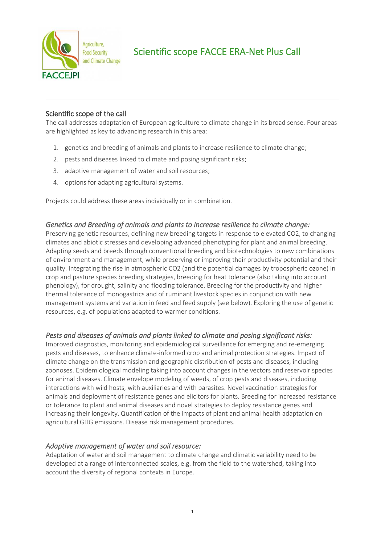

# Scientific scope FACCE ERA-Net Plus Call

## Scientific scope of the call

The call addresses adaptation of European agriculture to climate change in its broad sense. Four areas are highlighted as key to advancing research in this area:

- 1. genetics and breeding of animals and plants to increase resilience to climate change;
- 2. pests and diseases linked to climate and posing significant risks;
- 3. adaptive management of water and soil resources;
- 4. options for adapting agricultural systems.

Projects could address these areas individually or in combination.

#### *Genetics and Breeding of animals and plants to increase resilience to climate change:*

Preserving genetic resources, defining new breeding targets in response to elevated CO2, to changing climates and abiotic stresses and developing advanced phenotyping for plant and animal breeding. Adapting seeds and breeds through conventional breeding and biotechnologies to new combinations of environment and management, while preserving or improving their productivity potential and their quality. Integrating the rise in atmospheric CO2 (and the potential damages by tropospheric ozone) in crop and pasture species breeding strategies, breeding for heat tolerance (also taking into account phenology), for drought, salinity and flooding tolerance. Breeding for the productivity and higher thermal tolerance of monogastrics and of ruminant livestock species in conjunction with new management systems and variation in feed and feed supply (see below). Exploring the use of genetic resources, e.g. of populations adapted to warmer conditions.

### *Pests and diseases of animals and plants linked to climate and posing significant risks:*

Improved diagnostics, monitoring and epidemiological surveillance for emerging and re-emerging pests and diseases, to enhance climate-informed crop and animal protection strategies. Impact of climate change on the transmission and geographic distribution of pests and diseases, including zoonoses. Epidemiological modeling taking into account changes in the vectors and reservoir species for animal diseases. Climate envelope modeling of weeds, of crop pests and diseases, including interactions with wild hosts, with auxiliaries and with parasites. Novel vaccination strategies for animals and deployment of resistance genes and elicitors for plants. Breeding for increased resistance or tolerance to plant and animal diseases and novel strategies to deploy resistance genes and increasing their longevity. Quantification of the impacts of plant and animal health adaptation on agricultural GHG emissions. Disease risk management procedures.

### *Adaptive management of water and soil resource:*

Adaptation of water and soil management to climate change and climatic variability need to be developed at a range of interconnected scales, e.g. from the field to the watershed, taking into account the diversity of regional contexts in Europe.